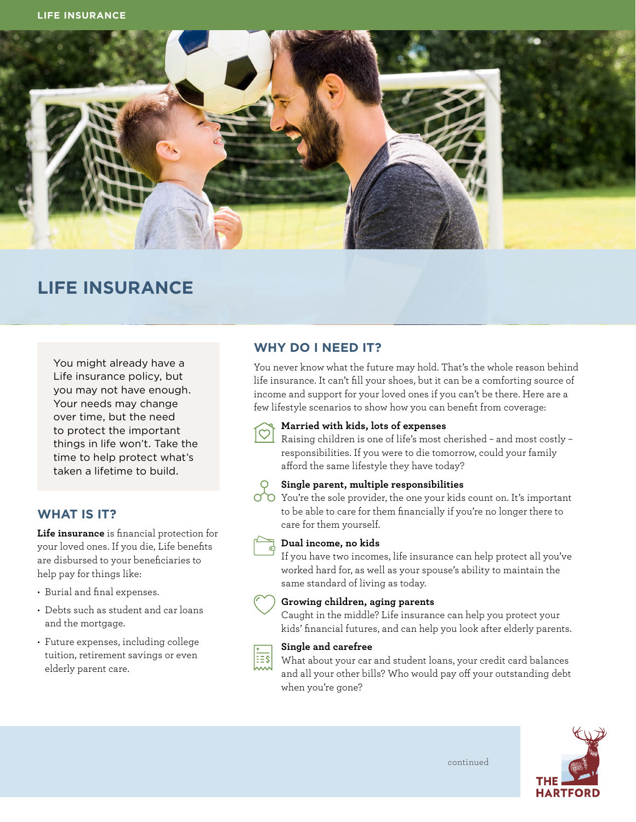

# **LIFE INSURANCE**

You might already have a Life insurance policy, but you may not have enough. Your needs may change over time, but the need to protect the important things in life won't. Take the time to help protect what's taken a lifetime to build.

## **WHAT IS IT?**

**Life insurance** is financial protection for your loved ones. If you die, Life benefits are disbursed to your beneficiaries to help pay for things like:

- Burial and final expenses.
- Debts such as student and car loans and the mortgage.
- Future expenses, including college tuition, retirement savings or even elderly parent care.

# **WHY DO I NEED IT?**

You never know what the future may hold. That's the whole reason behind life insurance. It can't fill your shoes, but it can be a comforting source of income and support for your loved ones if you can't be there. Here are a few lifestyle scenarios to show how you can benefit from coverage:



### **Married with kids, lots of expenses**

Raising children is one of life's most cherished – and most costly – responsibilities. If you were to die tomorrow, could your family afford the same lifestyle they have today?

#### **Single parent, multiple responsibilities**

You're the sole provider, the one your kids count on. It's important to be able to care for them financially if you're no longer there to care for them yourself.



## **Dual income, no kids**

If you have two incomes, life insurance can help protect all you've worked hard for, as well as your spouse's ability to maintain the same standard of living as today.



#### **Growing children, aging parents**

Caught in the middle? Life insurance can help you protect your kids' financial futures, and can help you look after elderly parents.



#### **Single and carefree**

What about your car and student loans, your credit card balances and all your other bills? Who would pay off your outstanding debt when you're gone?

continued